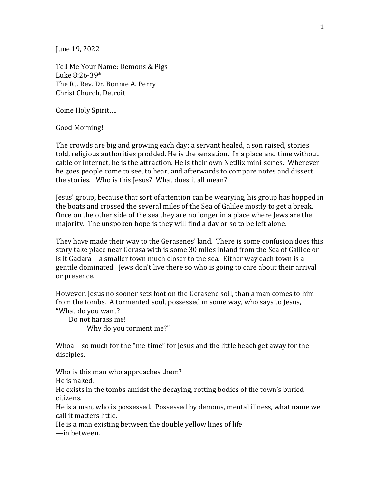June 19, 2022

Tell Me Your Name: Demons & Pigs Luke 8:26-39\* The Rt. Rev. Dr. Bonnie A. Perry Christ Church, Detroit

Come Holy Spirit….

Good Morning!

The crowds are big and growing each day: a servant healed, a son raised, stories told, religious authorities prodded. He is the sensation. In a place and time without cable or internet, he is the attraction. He is their own Netflix mini-series. Wherever he goes people come to see, to hear, and afterwards to compare notes and dissect the stories. Who is this Jesus? What does it all mean?

Jesus' group, because that sort of attention can be wearying, his group has hopped in the boats and crossed the several miles of the Sea of Galilee mostly to get a break. Once on the other side of the sea they are no longer in a place where Jews are the majority. The unspoken hope is they will find a day or so to be left alone.

They have made their way to the Gerasenes' land. There is some confusion does this story take place near Gerasa with is some 30 miles inland from the Sea of Galilee or is it Gadara—a smaller town much closer to the sea. Either way each town is a gentile dominated Jews don't live there so who is going to care about their arrival or presence.

However, Jesus no sooner sets foot on the Gerasene soil, than a man comes to him from the tombs. A tormented soul, possessed in some way, who says to Jesus, "What do you want?

 Do not harass me! Why do you torment me?"

Whoa—so much for the "me-time" for Jesus and the little beach get away for the disciples.

Who is this man who approaches them?

He is naked.

He exists in the tombs amidst the decaying, rotting bodies of the town's buried citizens.

He is a man, who is possessed. Possessed by demons, mental illness, what name we call it matters little.

He is a man existing between the double yellow lines of life

—in between.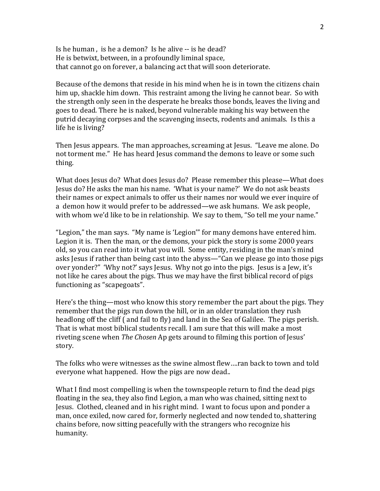Is he human , is he a demon? Is he alive -- is he dead? He is betwixt, between, in a profoundly liminal space, that cannot go on forever, a balancing act that will soon deteriorate.

Because of the demons that reside in his mind when he is in town the citizens chain him up, shackle him down. This restraint among the living he cannot bear. So with the strength only seen in the desperate he breaks those bonds, leaves the living and goes to dead. There he is naked, beyond vulnerable making his way between the putrid decaying corpses and the scavenging insects, rodents and animals. Is this a life he is living?

Then Jesus appears. The man approaches, screaming at Jesus. "Leave me alone. Do not torment me." He has heard Jesus command the demons to leave or some such thing.

What does Jesus do? What does Jesus do? Please remember this please—What does Jesus do? He asks the man his name. 'What is your name?' We do not ask beasts their names or expect animals to offer us their names nor would we ever inquire of a demon how it would prefer to be addressed—we ask humans. We ask people, with whom we'd like to be in relationship. We say to them, "So tell me your name."

"Legion," the man says. "My name is 'Legion'" for many demons have entered him. Legion it is. Then the man, or the demons, your pick the story is some 2000 years old, so you can read into it what you will. Some entity, residing in the man's mind asks Jesus if rather than being cast into the abyss—"Can we please go into those pigs over yonder?" 'Why not?' says Jesus. Why not go into the pigs. Jesus is a Jew, it's not like he cares about the pigs. Thus we may have the first biblical record of pigs functioning as "scapegoats".

Here's the thing—most who know this story remember the part about the pigs. They remember that the pigs run down the hill, or in an older translation they rush headlong off the cliff ( and fail to fly) and land in the Sea of Galilee. The pigs perish. That is what most biblical students recall. I am sure that this will make a most riveting scene when *The Chosen* Ap gets around to filming this portion of Jesus' story.

The folks who were witnesses as the swine almost flew….ran back to town and told everyone what happened. How the pigs are now dead..

What I find most compelling is when the townspeople return to find the dead pigs floating in the sea, they also find Legion, a man who was chained, sitting next to Jesus. Clothed, cleaned and in his right mind. I want to focus upon and ponder a man, once exiled, now cared for, formerly neglected and now tended to, shattering chains before, now sitting peacefully with the strangers who recognize his humanity.